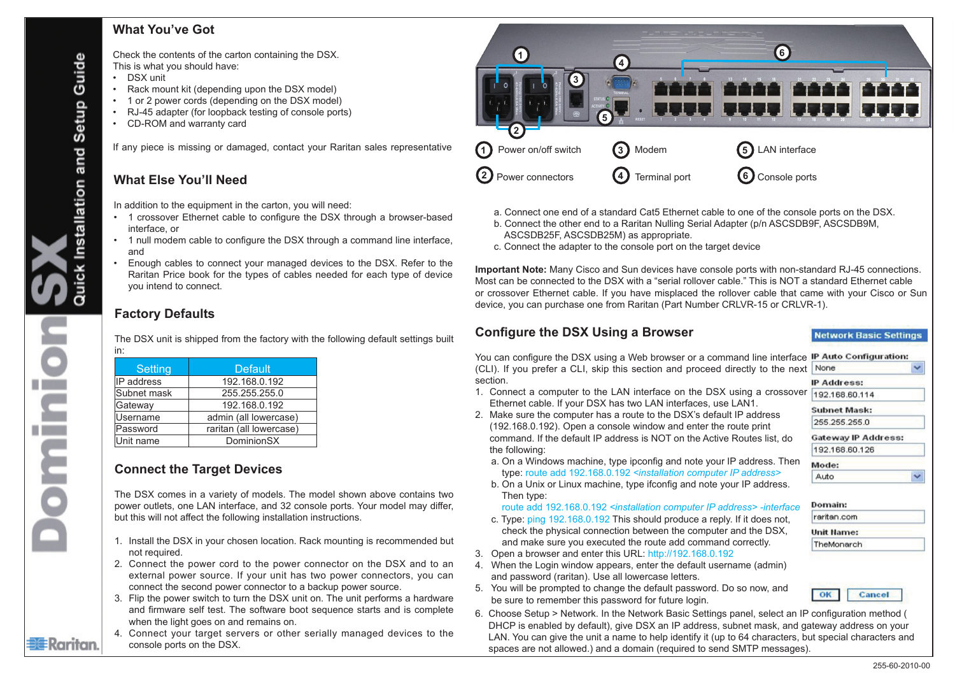- a. Connect one end of a standard Cat5 Ethernet cable to one of the console ports on the DSX.
- b. Connect the other end to a Raritan Nulling Serial Adapter (p/n ASCSDB9F, ASCSDB9M, ASCSDB25F, ASCSDB25M) as appropriate.
- c. Connect the adapter to the console port on the target device
- DSX unit
- Rack mount kit (depending upon the DSX model)
- 1 or 2 power cords (depending on the DSX model)
- RJ-45 adapter (for loopback testing of console ports) •
- CD-ROM and warranty card •

**Important Note:** Many Cisco and Sun devices have console ports with non-standard RJ-45 connections. Most can be connected to the DSX with a "serial rollover cable." This is NOT a standard Ethernet cable or crossover Ethernet cable. If you have misplaced the rollover cable that came with your Cisco or Sun device, you can purchase one from Raritan (Part Number CRLVR-15 or CRLVR-1).

#### **What You've Got**

- 1 crossover Ethernet cable to configure the DSX through a browser-based interface, or
- 1 null modem cable to configure the DSX through a command line interface, and
- Enough cables to connect your managed devices to the DSX. Refer to the Raritan Price book for the types of cables needed for each type of device you intend to connect. •

Check the contents of the carton containing the DSX. This is what you should have:

If any piece is missing or damaged, contact your Raritan sales representative

## **What Else You'll Need**

In addition to the equipment in the carton, you will need:

- 1. Install the DSX in your chosen location. Rack mounting is recommended but not required.
- 2. Connect the power cord to the power connector on the DSX and to an external power source. If your unit has two power connectors, you can connect the second power connector to a backup power source.
- Flip the power switch to turn the DSX unit on. The unit performs a hardware 3. and firmware self test. The software boot sequence starts and is complete when the light goes on and remains on.
- Connect your target servers or other serially managed devices to the 4. console ports on the DSX.

You can configure the DSX using a Web browser or a cor (CLI). If you prefer a CLI, skip this section and proceed section.

### **Factory Defaults**

The DSX unit is shipped from the factory with the following default settings built in:

| <b>Default</b>          |  |  |  |  |
|-------------------------|--|--|--|--|
| 192.168.0.192           |  |  |  |  |
| 255.255.255.0           |  |  |  |  |
| 192.168.0.192           |  |  |  |  |
| admin (all lowercase)   |  |  |  |  |
| raritan (all lowercase) |  |  |  |  |
| <b>DominionSX</b>       |  |  |  |  |
|                         |  |  |  |  |

## **Connect the Target Devices**

The DSX comes in a variety of models. The model shown above contains two power outlets, one LAN interface, and 32 console ports. Your model may differ, but this will not affect the following installation instructions.



#### **Configure the DSX Using a Browser**

- Connect a computer to the LAN interface on the DSX using a crossover 1. Ethernet cable. If your DSX has two LAN interfaces, use
- Make sure the computer has a route to the DSX's default IP address 2.  $(192.168.0.192)$ . Open a console window and enter the command. If the default IP address is NOT on the Active the following:
	- a. On a Windows machine, type ipconfig and note you type: route add 192.168.0.192 <installation computer
	- b. On a Unix or Linux machine, type if config and note Then type:
	- route add 192.168.0.192 <installation computer IP and
	- c. Type: ping 192.168.0.192 This should produce a rep check the physical connection between the computer and the  $\frac{1}{\sqrt{2}}$ and make sure you executed the route add comma
- 3. Open a browser and enter this URL: http://192.168.0.19
- 4. When the Login window appears, enter the default use and password (raritan). Use all lowercase letters.
- 5. You will be prompted to change the default password. be sure to remember this password for future login.
- 6. Choose Setup > Network. In the Network Basic Settings panel, select an IP configuration method ( DHCP is enabled by default), give DSX an IP address, subnet mask, and gateway address on your LAN. You can give the unit a name to help identify it (up to 64 characters, but special characters and spaces are not allowed.) and a domain (required to send SMTP messages).

**≣Raritan**.

| mmand line interface             | IP Auto Configuration:     |  |
|----------------------------------|----------------------------|--|
| I directly to the next           | None                       |  |
|                                  | IP Address:                |  |
| X using a crossover              | 192.168.60.114             |  |
| se LAN1.                         | Subnet Mask:               |  |
| ault IP address<br>e route print | 255.255.255.0              |  |
| ve Routes list, do               | <b>Gateway IP Address:</b> |  |
|                                  | 192.168.60.126             |  |
| ır IP address. Then              | Mode:                      |  |
| er IP address>                   | Auto                       |  |
| your IP address.                 |                            |  |
| address> -interface              | Domain:                    |  |
| ply. If it does not,             | raritan.com                |  |
| er and the DSX,                  | <b>Unit Name:</b>          |  |
| nd correctly.<br>192             | TheMonarch                 |  |
| ername (admin)                   |                            |  |
| Do so now, and                   | OK<br>Cancel               |  |

**Network Rasic Settings**